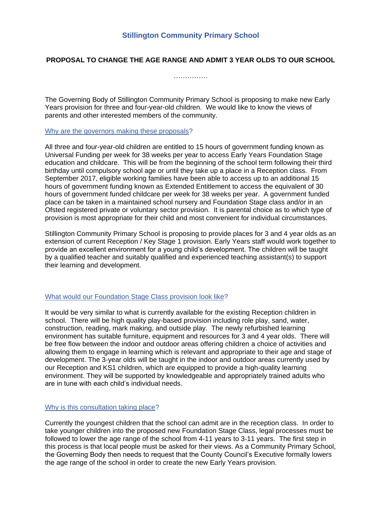## **PROPOSAL TO CHANGE THE AGE RANGE AND ADMIT 3 YEAR OLDS TO OUR SCHOOL**

………………

The Governing Body of Stillington Community Primary School is proposing to make new Early Years provision for three and four-year-old children. We would like to know the views of parents and other interested members of the community.

#### Why are the governors making these proposals?

All three and four-year-old children are entitled to 15 hours of government funding known as Universal Funding per week for 38 weeks per year to access Early Years Foundation Stage education and childcare. This will be from the beginning of the school term following their third birthday until compulsory school age or until they take up a place in a Reception class. From September 2017, eligible working families have been able to access up to an additional 15 hours of government funding known as Extended Entitlement to access the equivalent of 30 hours of government funded childcare per week for 38 weeks per year. A government funded place can be taken in a maintained school nursery and Foundation Stage class and/or in an Ofsted registered private or voluntary sector provision. It is parental choice as to which type of provision is most appropriate for their child and most convenient for individual circumstances.

Stillington Community Primary School is proposing to provide places for 3 and 4 year olds as an extension of current Reception / Key Stage 1 provision. Early Years staff would work together to provide an excellent environment for a young child's development. The children will be taught by a qualified teacher and suitably qualified and experienced teaching assistant(s) to support their learning and development.

#### What would our Foundation Stage Class provision look like?

It would be very similar to what is currently available for the existing Reception children in school. There will be high quality play-based provision including role play, sand, water, construction, reading, mark making, and outside play. The newly refurbished learning environment has suitable furniture, equipment and resources for 3 and 4 year olds. There will be free flow between the indoor and outdoor areas offering children a choice of activities and allowing them to engage in learning which is relevant and appropriate to their age and stage of development. The 3-year olds will be taught in the indoor and outdoor areas currently used by our Reception and KS1 children, which are equipped to provide a high-quality learning environment. They will be supported by knowledgeable and appropriately trained adults who are in tune with each child's individual needs.

#### Why is this consultation taking place?

Currently the youngest children that the school can admit are in the reception class. In order to take younger children into the proposed new Foundation Stage Class, legal processes must be followed to lower the age range of the school from 4-11 years to 3-11 years. The first step in this process is that local people must be asked for their views. As a Community Primary School, the Governing Body then needs to request that the County Council's Executive formally lowers the age range of the school in order to create the new Early Years provision.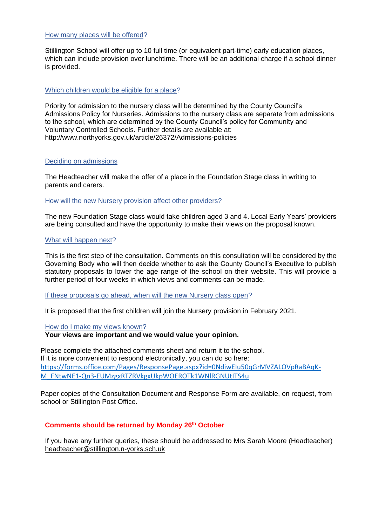#### How many places will be offered?

Stillington School will offer up to 10 full time (or equivalent part-time) early education places, which can include provision over lunchtime. There will be an additional charge if a school dinner is provided.

#### Which children would be eligible for a place?

Priority for admission to the nursery class will be determined by the County Council's Admissions Policy for Nurseries. Admissions to the nursery class are separate from admissions to the school, which are determined by the County Council's policy for Community and Voluntary Controlled Schools. Further details are available at: <http://www.northyorks.gov.uk/article/26372/Admissions-policies>

#### Deciding on admissions

The Headteacher will make the offer of a place in the Foundation Stage class in writing to parents and carers.

How will the new Nursery provision affect other providers?

The new Foundation Stage class would take children aged 3 and 4. Local Early Years' providers are being consulted and have the opportunity to make their views on the proposal known.

## What will happen next?

This is the first step of the consultation. Comments on this consultation will be considered by the Governing Body who will then decide whether to ask the County Council's Executive to publish statutory proposals to lower the age range of the school on their website. This will provide a further period of four weeks in which views and comments can be made.

If these proposals go ahead, when will the new Nursery class open?

It is proposed that the first children will join the Nursery provision in February 2021.

How do I make my views known?

**Your views are important and we would value your opinion.**

Please complete the attached comments sheet and return it to the school. If it is more convenient to respond electronically, you can do so here: [https://forms.office.com/Pages/ResponsePage.aspx?id=0NdiwEIu50qGrMVZALOVpRaBAqK-](https://forms.office.com/Pages/ResponsePage.aspx?id=0NdiwEIu50qGrMVZALOVpRaBAqK-M_FNtwNE1-Qn3-FUMzgxRTZRVkgxUkpWOEROTk1WNlRGNUtITS4u)[M\\_FNtwNE1-Qn3-FUMzgxRTZRVkgxUkpWOEROTk1WNlRGNUtITS4u](https://forms.office.com/Pages/ResponsePage.aspx?id=0NdiwEIu50qGrMVZALOVpRaBAqK-M_FNtwNE1-Qn3-FUMzgxRTZRVkgxUkpWOEROTk1WNlRGNUtITS4u)

Paper copies of the Consultation Document and Response Form are available, on request, from school or Stillington Post Office.

# **Comments should be returned by Monday 26th October**

If you have any further queries, these should be addressed to Mrs Sarah Moore (Headteacher) [headteacher@stillington.n-yorks.sch.uk](mailto:headteacher@stillington.n-yorks.sch.uk)